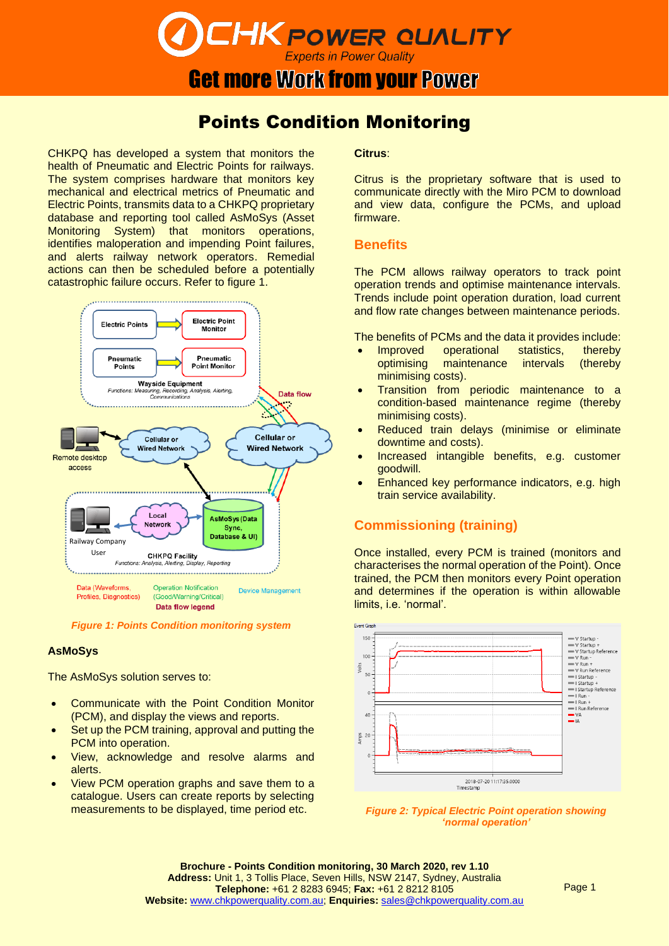# **CHK POWER QUALITY Experts in Power Quality**

# **Get more Work from your Power**

# Points Condition Monitoring

CHKPQ has developed a system that monitors the health of Pneumatic and Electric Points for railways. The system comprises hardware that monitors key mechanical and electrical metrics of Pneumatic and Electric Points, transmits data to a CHKPQ proprietary database and reporting tool called AsMoSys (Asset Monitoring System) that monitors operations, identifies maloperation and impending Point failures, and alerts railway network operators. Remedial actions can then be scheduled before a potentially catastrophic failure occurs. Refer to figure 1.



*Figure 1: Points Condition monitoring system*

#### **AsMoSys**

The AsMoSys solution serves to:

- Communicate with the Point Condition Monitor (PCM), and display the views and reports.
- Set up the PCM training, approval and putting the PCM into operation.
- View, acknowledge and resolve alarms and alerts.
- View PCM operation graphs and save them to a catalogue. Users can create reports by selecting measurements to be displayed, time period etc.

#### **Citrus**:

Citrus is the proprietary software that is used to communicate directly with the Miro PCM to download and view data, configure the PCMs, and upload firmware.

### **Benefits**

The PCM allows railway operators to track point operation trends and optimise maintenance intervals. Trends include point operation duration, load current and flow rate changes between maintenance periods.

The benefits of PCMs and the data it provides include:

- Improved operational statistics, thereby optimising maintenance intervals (thereby minimising costs).
- Transition from periodic maintenance to a condition-based maintenance regime (thereby minimising costs).
- Reduced train delays (minimise or eliminate downtime and costs).
- Increased intangible benefits, e.g. customer goodwill.
- Enhanced key performance indicators, e.g. high train service availability.

# **Commissioning (training)**

Once installed, every PCM is trained (monitors and characterises the normal operation of the Point). Once trained, the PCM then monitors every Point operation and determines if the operation is within allowable limits, i.e. 'normal'.



*Figure 2: Typical Electric Point operation showing 'normal operation'*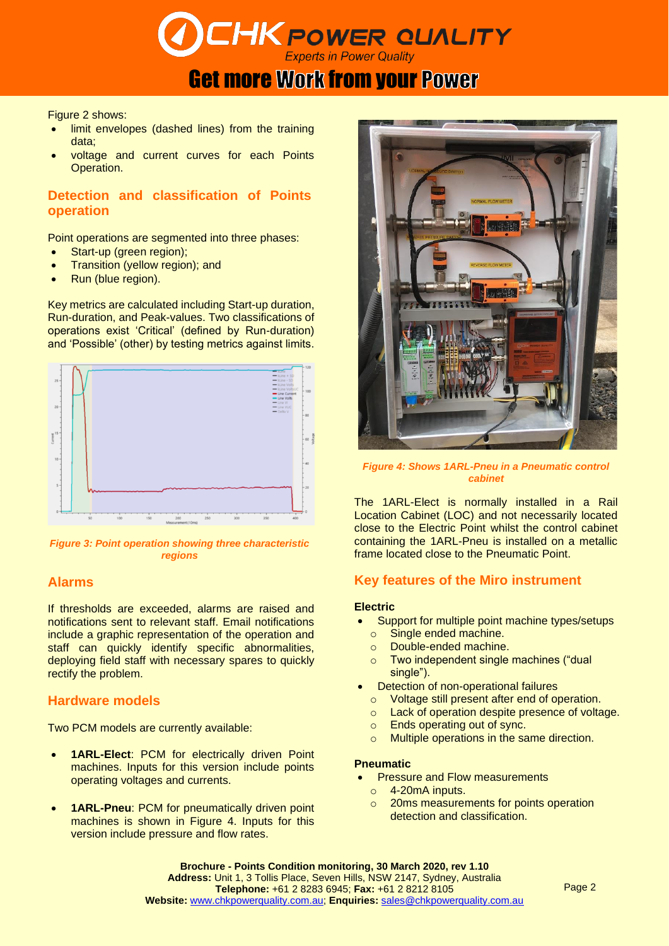

# **Get more Work from your Power**

Figure 2 shows:

- limit envelopes (dashed lines) from the training data;
- voltage and current curves for each Points Operation.

## **Detection and classification of Points operation**

Point operations are segmented into three phases:

- Start-up (green region);
- Transition (yellow region); and
- Run (blue region).

Key metrics are calculated including Start-up duration, Run-duration, and Peak-values. Two classifications of operations exist 'Critical' (defined by Run-duration) and 'Possible' (other) by testing metrics against limits.



*Figure 3: Point operation showing three characteristic regions*

# **Alarms**

If thresholds are exceeded, alarms are raised and notifications sent to relevant staff. Email notifications include a graphic representation of the operation and staff can quickly identify specific abnormalities, deploying field staff with necessary spares to quickly rectify the problem.

## **Hardware models**

Two PCM models are currently available:

- **1ARL-Elect**: PCM for electrically driven Point machines. Inputs for this version include points operating voltages and currents.
- **1ARL-Pneu**: PCM for pneumatically driven point machines is shown in Figure 4. Inputs for this version include pressure and flow rates.



*Figure 4: Shows 1ARL-Pneu in a Pneumatic control cabinet*

The 1ARL-Elect is normally installed in a Rail Location Cabinet (LOC) and not necessarily located close to the Electric Point whilst the control cabinet containing the 1ARL-Pneu is installed on a metallic frame located close to the Pneumatic Point.

## **Key features of the Miro instrument**

#### **Electric**

- Support for multiple point machine types/setups
- o Single ended machine.
- o Double-ended machine.
- o Two independent single machines ("dual single").
- Detection of non-operational failures
	- o Voltage still present after end of operation.
	- o Lack of operation despite presence of voltage.
- o Ends operating out of sync.
- o Multiple operations in the same direction.

#### **Pneumatic**

- **Pressure and Flow measurements** 
	- o 4-20mA inputs.
	- o 20ms measurements for points operation detection and classification.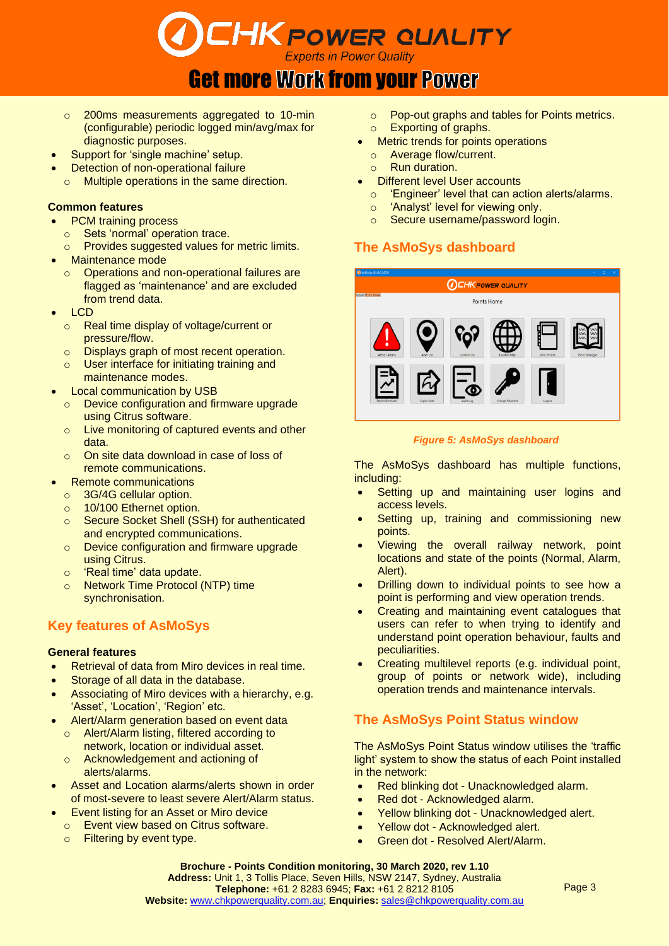**CHK POWER QUALITY Experts in Power Quality** 

# Get more Work from your Power

- o 200ms measurements aggregated to 10-min (configurable) periodic logged min/avg/max for diagnostic purposes.
- Support for 'single machine' setup.
- **Detection of non-operational failure**
- o Multiple operations in the same direction.

#### **Common features**

- PCM training process
- o Sets 'normal' operation trace.
- o Provides suggested values for metric limits.
- Maintenance mode
	- Operations and non-operational failures are flagged as 'maintenance' and are excluded from trend data.
- LCD
	- o Real time display of voltage/current or pressure/flow.
	- o Displays graph of most recent operation.
	- o User interface for initiating training and maintenance modes.
	- Local communication by USB
	- o Device configuration and firmware upgrade using Citrus software.
	- o Live monitoring of captured events and other data.
	- o On site data download in case of loss of remote communications.
- Remote communications
- o 3G/4G cellular option.
- o 10/100 Ethernet option.
- o Secure Socket Shell (SSH) for authenticated and encrypted communications.
- o Device configuration and firmware upgrade using Citrus.
- o 'Real time' data update.
- o Network Time Protocol (NTP) time synchronisation.

## **Key features of AsMoSys**

#### **General features**

- Retrieval of data from Miro devices in real time.
- Storage of all data in the database.
- Associating of Miro devices with a hierarchy, e.g. 'Asset', 'Location', 'Region' etc.
- Alert/Alarm generation based on event data
	- o Alert/Alarm listing, filtered according to network, location or individual asset.
	- o Acknowledgement and actioning of alerts/alarms.
- Asset and Location alarms/alerts shown in order of most-severe to least severe Alert/Alarm status.
- **Event listing for an Asset or Miro device** 
	- o Event view based on Citrus software.
	- o Filtering by event type.
- o Pop-out graphs and tables for Points metrics.
- o Exporting of graphs.
- Metric trends for points operations
- o Average flow/current.
- o Run duration.
- **Different level User accounts** 
	- o 'Engineer' level that can action alerts/alarms.
	- o 'Analyst' level for viewing only.
	- o Secure username/password login.

# **The AsMoSys dashboard**



#### *Figure 5: AsMoSys dashboard*

The AsMoSys dashboard has multiple functions, including:

- Setting up and maintaining user logins and access levels.
- Setting up, training and commissioning new points.
- Viewing the overall railway network, point locations and state of the points (Normal, Alarm, Alert).
- Drilling down to individual points to see how a point is performing and view operation trends.
- Creating and maintaining event catalogues that users can refer to when trying to identify and understand point operation behaviour, faults and peculiarities.
- Creating multilevel reports (e.g. individual point, group of points or network wide), including operation trends and maintenance intervals.

# **The AsMoSys Point Status window**

The AsMoSys Point Status window utilises the 'traffic light' system to show the status of each Point installed in the network:

- Red blinking dot Unacknowledged alarm.
- Red dot Acknowledged alarm.
- Yellow blinking dot Unacknowledged alert.
- Yellow dot Acknowledged alert.
- Green dot Resolved Alert/Alarm.